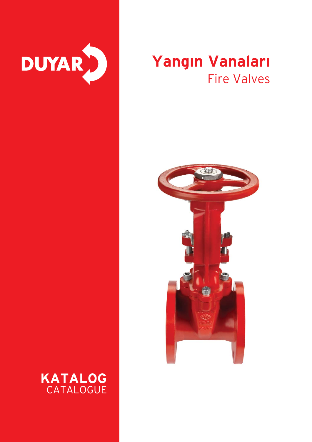

## **Yangın Vanaları** Fire Valves



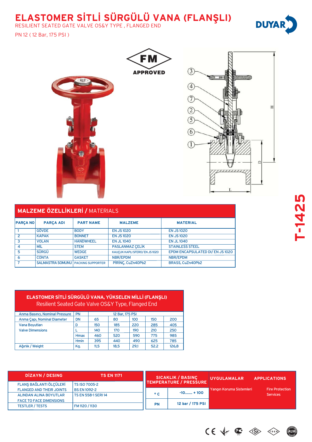## **ELASTOMER S‹TL‹ SÜRGÜLÜ VANA (FLANfiLI)**

**FM** 

**APPROVED** 

RESILIENT SEATED GATE VALVE OS&Y TYPE , FLANGED END

**SSP** 

#### PN 12 ( 12 Bar, 175 PSI )



|                 | <b>MALZEME ÖZELLİKLERİ / MATERIALS</b>      |                  |                               |                                  |  |  |  |  |  |  |
|-----------------|---------------------------------------------|------------------|-------------------------------|----------------------------------|--|--|--|--|--|--|
| <b>PARÇA NO</b> | <b>PARÇA ADI</b>                            | <b>PART NAME</b> | <b>MALZEME</b>                | <b>MATERIAL</b>                  |  |  |  |  |  |  |
|                 | <b>GÖVDE</b>                                | <b>BODY</b>      | <b>EN JS1020</b>              | <b>EN JS1020</b>                 |  |  |  |  |  |  |
| 2               | <b>KAPAK</b>                                | <b>BONNET</b>    | <b>EN JS1020</b>              | <b>EN JS 1020</b>                |  |  |  |  |  |  |
| $\overline{3}$  | <b>VOLAN</b>                                | <b>HANDWHEEL</b> | <b>EN JL 1040</b>             | <b>EN JL 1040</b>                |  |  |  |  |  |  |
| 4               | <b>MIL</b>                                  | <b>STEM</b>      | <b>PASLANMAZ ÇELİK</b>        | <b>STAINLESS STEEL</b>           |  |  |  |  |  |  |
| 5               | SÜRGÜ                                       | <b>WEDGE</b>     | KAUCUK KAPLI SFERO/ EN JS1020 | EPDM ENCAPSULATED DI/ EN JS 1020 |  |  |  |  |  |  |
| 6               | <b>CONTA</b>                                | <b>GASKET</b>    | NBR/EPDM                      | <b>NBR/EPDM</b>                  |  |  |  |  |  |  |
| 7               | <b>SALMASTRA SOMUNU   PACKING SUPPORTER</b> |                  | PİRİNC, CuZn40Pb2             | BRASS, CuZn40Pb2                 |  |  |  |  |  |  |

#### **ELASTOMER SİTLİ SÜRGÜLÜ VANA, YÜKSELEN MİLLİ (FLANŞLI)** Resilient Seated Gate Valve OS&Y Type, Flanged End

| Anma Basıncı, Nominal Pressure | <b>PN</b>   |      | 12 Bar, 175 PSI |      |      |       |
|--------------------------------|-------------|------|-----------------|------|------|-------|
| Anma Capi, Nominal Diameter    | DN          | 65   | 80              | 100  | 150  | 200   |
| Vana Boyutları                 |             | 150  | 185             | 220  | 285  | 405   |
| <b>Valve Dimensions</b>        |             | 140  | 170             | 190  | 210  | 250   |
|                                | <b>Hmax</b> | 460  | 520             | 590  | 775  | 985   |
|                                | <b>Hmin</b> | 395  | 440             | 490  | 625  | 785   |
| Ağırlık / Weight               | Kg.         | 11.5 | 18.5            | 29.1 | 52.2 | 126.8 |

| DIZAYN / DESING                 | <b>TS EN 1171</b>          |              | <b>SICAKLIK / BASINÇ</b><br><b>TEMPERATURE / PRESSURE</b> | <b>UYGULAMALAR</b>       | <b>APPLICATIONS</b>    |
|---------------------------------|----------------------------|--------------|-----------------------------------------------------------|--------------------------|------------------------|
| FLANS BAĞLANTI ÖLÇÜLERİ         | <b>TS ISO 7005-2</b>       |              |                                                           |                          |                        |
| <b>FLANGED AND THEIR JOINTS</b> | <b>BS EN 1092-2</b>        |              |                                                           | Yangın Koruma Sistemleri | <b>Fire Protection</b> |
| <b>ALINDAN ALINA BOYUTLAR</b>   | <b>TS EN 558-1 SERI 14</b> | $^{\circ}$ C | $-10$ + 100                                               |                          | <b>Services</b>        |
| <b>FACE TO FACE DIMENSIONS</b>  |                            |              |                                                           |                          |                        |
| <b>TESTLER / TESTS</b>          | FM 1120 / 1130             | <b>PN</b>    | 12 bar / 175 PSI                                          |                          |                        |







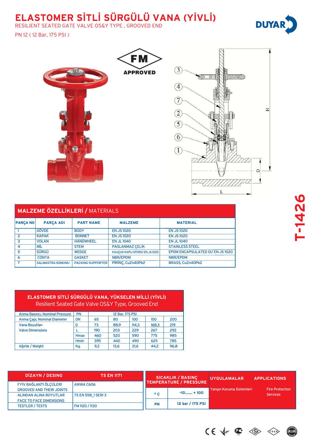## **ELASTOMER SİTLİ SÜRGÜLÜ VANA (YİVLİ)**

RESILIENT SEATED GATE VALVE OS&Y TYPE , GROOVED END

#### PN 12 ( 12 Bar, 175 PSI )



|                 | <b>MALZEME ÖZELLİKLERİ / MATERIALS</b> |                          |                               |                                |  |  |  |  |  |  |
|-----------------|----------------------------------------|--------------------------|-------------------------------|--------------------------------|--|--|--|--|--|--|
| <b>PARÇA NO</b> | <b>PARÇA ADI</b>                       | <b>PART NAME</b>         | <b>MALZEME</b>                | <b>MATERIAL</b>                |  |  |  |  |  |  |
|                 | <b>GÖVDE</b>                           | <b>BODY</b>              | <b>EN JS1020</b>              | <b>EN JS 1020</b>              |  |  |  |  |  |  |
| $\overline{2}$  | <b>KAPAK</b>                           | <b>BONNET</b>            | <b>EN JS 1020</b>             | <b>EN JS 1020</b>              |  |  |  |  |  |  |
| 3               | <b>VOLAN</b>                           | <b>HANDWHEEL</b>         | <b>EN JL 1040</b>             | <b>EN JL 1040</b>              |  |  |  |  |  |  |
| 4               | <b>MIL</b>                             | <b>STEM</b>              | <b>PASLANMAZ CELİK</b>        | <b>STAINLESS STEEL</b>         |  |  |  |  |  |  |
| 5               | SÜRGÜ                                  | <b>WEDGE</b>             | KAUCUK KAPLI SFERO/ EN JS1020 | EPDM ENCAPSULATED DI/EN JS1020 |  |  |  |  |  |  |
| 6               | <b>CONTA</b>                           | <b>GASKET</b>            | NBR/EPDM                      | NBR/EPDM                       |  |  |  |  |  |  |
|                 | <b>SALMASTRA SOMUNU</b>                | <b>PACKING SUPPORTER</b> | PİRİNC, CuZn40Pb2             | BRASS, CuZn40Pb2               |  |  |  |  |  |  |

#### **ELASTOMER SİTLİ SÜRGÜLÜ VANA, YÜKSELEN MİLLİ (YİVLİ)** Resilient Seated Gate Valve OS&Y Type, Grooved End

| Anma Basıncı, Nominal Pressure | <b>PN</b>   |     | 12 Bar, 175 PSI |       |       |      |
|--------------------------------|-------------|-----|-----------------|-------|-------|------|
| Anma Capi, Nominal Diameter    | <b>DN</b>   | 65  | 80              | 100   | 150   | 200  |
| Vana Boyutları                 |             | 73  | 88.9            | 114,3 | 168.3 | 219  |
| <b>Valve Dimensions</b>        |             | 190 | 203             | 229   | 267   | 292  |
|                                | <b>Hmax</b> | 460 | 520             | 590   | 775   | 985  |
|                                | <b>Hmin</b> | 395 | 440             | 490   | 625   | 785  |
| Ağırlık / Weight               | Kg.         | 9.2 | 13,6            | 21,6  | 44.2  | 96,8 |

| DIZAYN / DESING                 | <b>TS EN 1171</b>         |              | <b>SICAKLIK / BASINÇ</b><br><b>TEMPERATURE / PRESSURE</b> | <b>UYGULAMALAR</b>       | <b>APPLICATIONS</b>    |  |
|---------------------------------|---------------------------|--------------|-----------------------------------------------------------|--------------------------|------------------------|--|
| FYİV BAĞLANTI ÖLÇÜLERİ          | AWWA C606                 |              |                                                           |                          |                        |  |
| <b>GROOVED AND THEIR JOINTS</b> |                           |              |                                                           | Yangın Koruma Sistemleri | <b>Fire Protection</b> |  |
| ALINDAN ALINA BOYUTLAR          | <b>TS EN 558 1 SERI 3</b> | $^{\circ}$ C | $-10$ + 100                                               |                          | <b>Services</b>        |  |
| <b>FACE TO FACE DIMENSIONS</b>  |                           |              |                                                           |                          |                        |  |
| <b>TESTLER / TESTS</b>          | FM 1120 / 1130            | PN           | 12 bar / 175 PSI                                          |                          |                        |  |

# **T-1426**



 $CE \nightharpoonup \nightharpoonup \text{SE}$ 

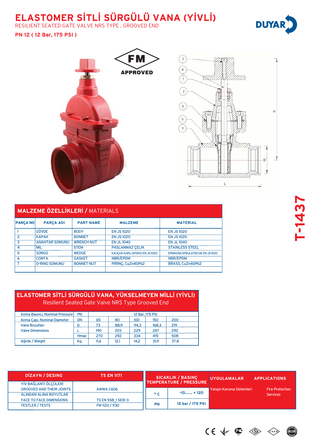## **ELASTOMER SİTLİ SÜRGÜLÜ VANA (YİVLİ)**

**FM** 

**APPROVED** 

RESILIENT SEATED GATE VALVE NRS TYPE , GROOVED END

#### **PN 12 ( 12 Bar, 175 PSI )**



|                          | <b>MALZEME ÖZELLİKLERİ / MATERIALS</b> |                   |                               |                                |  |  |  |  |  |  |
|--------------------------|----------------------------------------|-------------------|-------------------------------|--------------------------------|--|--|--|--|--|--|
| <b>PARÇA NO</b>          | <b>PARÇA ADI</b>                       | <b>PART NAME</b>  | <b>MALZEME</b>                | <b>MATERIAL</b>                |  |  |  |  |  |  |
|                          | <b>GÖVDE</b>                           | <b>BODY</b>       | <b>EN JS1020</b>              | <b>EN JS1020</b>               |  |  |  |  |  |  |
| $\overline{\phantom{0}}$ | <b>KAPAK</b>                           | <b>BONNET</b>     | <b>EN JS1020</b>              | <b>EN JS1020</b>               |  |  |  |  |  |  |
| 3                        | <b>ANAHTAR SOMUNU</b>                  | <b>WRENCH NUT</b> | <b>EN JL1040</b>              | <b>EN JL 1040</b>              |  |  |  |  |  |  |
| 4                        | MİL                                    | <b>STEM</b>       | <b>PASLANMAZ CELİK</b>        | <b>STAINLESS STEEL</b>         |  |  |  |  |  |  |
| 5                        | <b>SÜRGÜ</b>                           | <b>WEDGE</b>      | KAUCUK KAPLI SFERO/ EN JS1020 | EPDM ENCAPSULATED DI/EN JS1020 |  |  |  |  |  |  |
| 6                        | <b>CONTA</b>                           | <b>GASKET</b>     | <b>NBR/EPDM</b>               | NBR/EPDM                       |  |  |  |  |  |  |
|                          | <b>O-RING SOMUNU</b>                   | <b>BONNET NUT</b> | PİRİNC, CuZn40Pb2             | BRASS, CuZn40Pb2               |  |  |  |  |  |  |
|                          |                                        |                   |                               |                                |  |  |  |  |  |  |

#### **ELASTOMER SİTLİ SÜRGÜLÜ VANA, YÜKSELMEYEN MİLLİ (YİVLİ)** Resilient Seated Gate Valve NRS Type Grooved End

| Anma Basıncı, Nominal Pressure | <b>PN</b> | 12 Bar, 175 PSI |      |       |       |      |  |
|--------------------------------|-----------|-----------------|------|-------|-------|------|--|
| Anma Çapı, Nominal Diameter    | DN        | 65              | 80   | 100   | 150   | 200  |  |
| <b>Vana Boyutları</b>          | D         | 73              | 88.9 | 114.3 | 168.3 | 219  |  |
| <b>Valve Dimensions</b>        |           | 190             | 203  | 229   | 267   | 292  |  |
|                                | Hmax      | 270             | 292  | 334   | 415   | 508  |  |
| Ağırlık / Weight               | Kg.       | 11.6            | 12,1 | 14.2  | 31.9  | 37,8 |  |

| DIZAYN / DESING                 | <b>TS EN 1171</b>  |              | <b>SICAKLIK / BASINÇ</b><br><b>TEMPERATURE / PRESSURE</b> | <b>UYGULAMALAR</b>       | <b>APPLICATIONS</b>    |
|---------------------------------|--------------------|--------------|-----------------------------------------------------------|--------------------------|------------------------|
| YİV BAĞLANTI ÖLÇÜLERİ           |                    |              |                                                           |                          |                        |
| <b>GROOVED AND THEIR JOINTS</b> | AWWA C606          |              |                                                           | Yangın Koruma Sistemleri | <b>Fire Protection</b> |
| ALINDAN ALINA BOYUTLAR          |                    | $^{\circ}$ C | $-10$ + 120                                               |                          | <b>Services</b>        |
| <b>FACE TO FACE DIMENSIONS</b>  | TS EN 558_1 SERI 3 |              |                                                           |                          |                        |
| <b>TESTLER / TESTS</b>          | FM 1120 / 1130     | PN           | 12 bar / 175 PSI                                          |                          |                        |



 $CE \ntriangleleft C$  $\left\langle \left\{ \mathbf{s}\right\} \right\rangle$ 

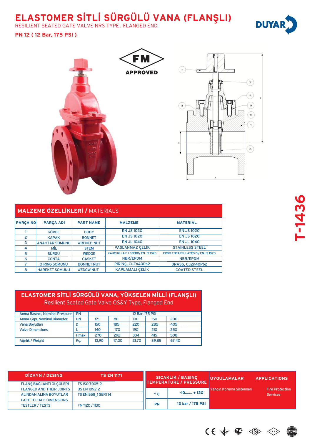## **ELASTOMER S‹TL‹ SÜRGÜLÜ VANA (FLANfiLI)**

RESILIENT SEATED GATE VALVE NRS TYPE , FLANGED END

#### **PN 12 ( 12 Bar, 175 PSI )**



|                 | <b>MALZEME ÖZELLİKLERİ / MATERIALS</b> |                   |                                |                                |  |  |  |  |  |  |  |
|-----------------|----------------------------------------|-------------------|--------------------------------|--------------------------------|--|--|--|--|--|--|--|
| <b>PARÇA NO</b> | <b>PARÇA ADI</b>                       | <b>PART NAME</b>  | <b>MALZEME</b>                 | <b>MATERIAL</b>                |  |  |  |  |  |  |  |
|                 | <b>GÖVDE</b>                           | <b>BODY</b>       | <b>EN JS 1020</b>              | <b>EN JS1020</b>               |  |  |  |  |  |  |  |
| 2               | <b>KAPAK</b>                           | <b>BONNET</b>     | <b>EN JS 1020</b>              | <b>EN JS 1020</b>              |  |  |  |  |  |  |  |
| 3               | <b>ANAHTAR SOMUNU</b>                  | <b>WRENCH NUT</b> | <b>EN JL 1040</b>              | <b>EN JL 1040</b>              |  |  |  |  |  |  |  |
| $\overline{4}$  | MİL                                    | <b>STEM</b>       | <b>PASLANMAZ CELÍK</b>         | <b>STAINLESS STEEL</b>         |  |  |  |  |  |  |  |
| 5               | <b>SÜRGÜ</b>                           | <b>WEDGE</b>      | KAUÇUK KAPLI SFERO/ EN JS 1020 | EPDM ENCAPSULATED DI/EN JS1020 |  |  |  |  |  |  |  |
| 6               | <b>CONTA</b>                           | <b>GASKET</b>     | NBR/EPDM                       | NBR/EPDM                       |  |  |  |  |  |  |  |
| 7               | <b>O-RING SOMUNU</b>                   | <b>BONNET NUT</b> | PİRİNÇ, CuZn40Pb2              | BRASS, CuZn40Pb2               |  |  |  |  |  |  |  |
| 8               | <b>HAREKET SOMUNU</b>                  | <b>WEDGW NUT</b>  | <b>KAPLAMALI CELİK</b>         | <b>COATED STEEL</b>            |  |  |  |  |  |  |  |

#### **ELASTOMER SİTLİ SÜRGÜLÜ VANA, YÜKSELEN MİLLİ (FLANŞLI)** Resilient Seated Gate Valve OS&Y Type, Flanged End

| Anma Basıncı, Nominal Pressure | <b>PN</b>   |       | 12 Bar, 175 PSI         |       |       |       |  |  |
|--------------------------------|-------------|-------|-------------------------|-------|-------|-------|--|--|
| Anma Capi, Nominal Diameter    | <b>DN</b>   | 65    | 100<br>80<br>200<br>150 |       |       |       |  |  |
| <b>Vana Boyutları</b>          |             | 150   | 185                     | 220   | 285   | 405   |  |  |
| <b>Valve Dimensions</b>        |             | 140   | 170                     | 190   | 210   | 250   |  |  |
|                                | <b>Hmax</b> | 270   | 292                     | 334   | 415   | 508   |  |  |
| Ağırlık / Weight               | Kg.         | 13.90 | 17.00                   | 21.70 | 39.85 | 67.40 |  |  |
|                                |             |       |                         |       |       |       |  |  |

| DIZAYN / DESING                 | <b>TS EN 1171</b>          | <b>SICAKLIK / BASINÇ</b><br>TEMPERATURE / PRESSURE |                  | <b>UYGULAMALAR</b>         | <b>APPLICATIONS</b>    |
|---------------------------------|----------------------------|----------------------------------------------------|------------------|----------------------------|------------------------|
| FLANŞ BAĞLANTI ÖLÇÜLERİ         | <b>TS ISO 7005-2</b>       |                                                    |                  |                            |                        |
| <b>FLANGED AND THEIR JOINTS</b> | <b>BS EN 1092-2</b>        |                                                    |                  | Yangın Koruma Sistemleri ' | <b>Fire Protection</b> |
| ALINDAN ALINA BOYUTLAR          | <b>TS EN 558 1 SERI 14</b> | $^{\circ}$ C                                       | $-10$ + 120      |                            | <b>Services</b>        |
| <b>FACE TO FACE DIMENSIONS</b>  |                            |                                                    |                  |                            |                        |
| <b>TESTLER / TESTS</b>          | FM 1120 / 1130             | <b>PN</b>                                          | 12 bar / 175 PSI |                            |                        |





 $\left\langle \left\{ \begin{matrix} \text{s} & \text{b} \\ \text{s} & \text{c} \end{matrix} \right\} \right\rangle$ 

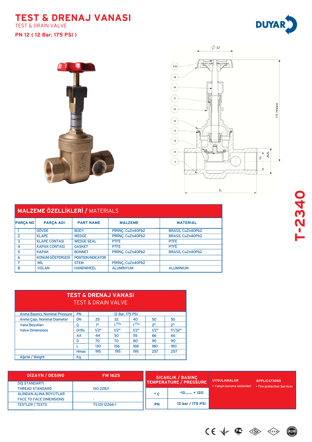#### **TEST & DRENAJ VANASI** TEST & DRAIN VALVE









| <b>MALZEME ÖZELLİKLERİ / MATERIALS</b> |                      |                    |                   |                  |  |  |  |
|----------------------------------------|----------------------|--------------------|-------------------|------------------|--|--|--|
| <b>PARÇA NO</b>                        | <b>PARÇA ADI</b>     | <b>PART NAME</b>   | <b>MALZEME</b>    | <b>MATERIAL</b>  |  |  |  |
|                                        | <b>GÖVDE</b>         | <b>BODY</b>        | PİRİNÇ, CuZn40Pb2 | BRASS, CuZn40Pb2 |  |  |  |
| $\overline{2}$                         | <b>KLAPE</b>         | <b>WEDGE</b>       | PİRİNÇ, CuZn40Pb2 | BRASS, CuZn40Pb2 |  |  |  |
| 3                                      | <b>KLAPE CONTASI</b> | <b>WEDGE SEAL</b>  | <b>PTFE</b>       | <b>PTFE</b>      |  |  |  |
| $\overline{4}$                         | <b>KAPAK CONTASI</b> | <b>GASKET</b>      | <b>PTFE</b>       | <b>PTFE</b>      |  |  |  |
| 5                                      | <b>KAPAK</b>         | <b>BONNET</b>      | PİRİNÇ, CuZn40Pb2 | BRASS, CuZn40Pb2 |  |  |  |
| 6                                      | KONUM GÖSTERGESİ     | POSITION INDICATOR |                   |                  |  |  |  |
| 7                                      | MİL                  | <b>STEM</b>        | PİRİNÇ, CuZn40Pb2 |                  |  |  |  |
| 8                                      | <b>VOLAN</b>         | <b>HANDWHEEL</b>   | <b>ALUMİNYUM</b>  | <b>ALUMINIUM</b> |  |  |  |

| <u>TEST &amp; DRENAJ VANASI</u><br><b>TEST &amp; DRAIN VALVE</b> |               |      |            |      |                |                 |
|------------------------------------------------------------------|---------------|------|------------|------|----------------|-----------------|
| <b>PN</b><br>Anma Basıncı, Nominal Pressure<br>12 Bar, 175 PSI   |               |      |            |      |                |                 |
| Anma Capi, Nominal Diameter                                      | <b>DN</b>     | 25   | 32         | 40   | 50             | 50              |
| Vana Boyutları                                                   | G             | 111  | $1^{1/4}1$ | 1/2n | 2 <sup>n</sup> | 2 <sup>11</sup> |
| <b>Valve Dimensions</b>                                          | <b>Orifis</b> | 1/2" | 1/2"       | 1/2" | 1/2"           | 17/32"          |
|                                                                  | AA            | 44   | 50         | 55   | 66             | 66              |
|                                                                  | D             | 70   | 70         | 80   | 90             | 90              |
|                                                                  |               | 130  | 156        | 168  | 180            | 180             |
|                                                                  | <b>Hmax</b>   | 195  | 195        | 195  | 257            | 257             |
| Ağırlık / Weight                                                 | Kg.           |      |            |      |                |                 |

| DIZAYN / DESING                | <b>FM 1625</b>       |                               | <b>SICAKLIK / BASINÇ</b> | <b>UYGULAMALAR</b>         | <b>APPLICATIONS</b>        |
|--------------------------------|----------------------|-------------------------------|--------------------------|----------------------------|----------------------------|
| DIS STANDARTI                  |                      | <b>TEMPERATURE / PRESSURE</b> |                          |                            |                            |
| <b>THREAD STANDARD</b>         | ISO 228/1            |                               |                          | • Yangın koruma sistemleri | • Fire protection Services |
| ALINDAN ALINA BOYUTLAR         |                      | $^{\circ}$ C                  | $-10$ + 120              |                            |                            |
| <b>FACE TO FACE DIMENSIONS</b> |                      |                               |                          |                            |                            |
| <b>TESTLER / TESTS</b>         | <b>TS EN 12266-1</b> | <b>PN</b>                     | 12 bar / 175 PSI         |                            |                            |

 $CE \nleftrightarrow \n\mathbf{C} \n\iff$  $\left\langle \left\langle \mathbf{S}\right\rangle \mathbf{E}\right\rangle$ 

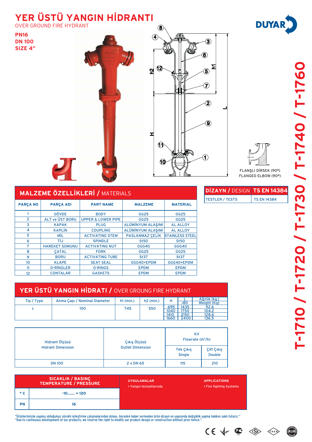## **YER ÜSTÜ YANGIN HİDRANTI**

OVER GROUND FIRE HYDRANT

**PN16 DN 100 SIZE 4"**







FLANŞLI DİRSEK (90°) FLANGED ELBOW (90°)

**DİZAYN / DESIGN TS EN 14384** TESTLER / TESTS TS EN 14384

| <b>MALZEME ÖZELLİKLERİ / MATERIALS</b> |                        |                               |                   |                        |  |  |  |
|----------------------------------------|------------------------|-------------------------------|-------------------|------------------------|--|--|--|
| <b>PARÇA NO</b>                        | <b>PARÇA ADI</b>       | <b>PART NAME</b>              | <b>MALZEME</b>    | <b>MATERIAL</b>        |  |  |  |
|                                        | <b>GÖVDE</b>           | <b>BODY</b>                   | GG25              | GG25                   |  |  |  |
| $\overline{2}$                         | <b>ALT ve ÜST BORU</b> | <b>UPPER &amp; LOWER PIPE</b> | <b>GG25</b>       | <b>GG25</b>            |  |  |  |
| 3                                      | <b>KAPAK</b>           | <b>PLUG</b>                   | ALÜMİNYUM ALAŞIMI | <b>AL ALLOY</b>        |  |  |  |
| 4                                      | <b>KAPLIN</b>          | <b>COUPLING</b>               | ALÜMİNYUM ALAŞIMI | <b>AL ALLOY</b>        |  |  |  |
| 5                                      | MİL                    | <b>ACTIVATING STEM</b>        | PASLANMAZ ÇELİK   | <b>STAINLESS STEEL</b> |  |  |  |
| 6                                      | TİJ                    | <b>SPINDLE</b>                | <b>St50</b>       | <b>St50</b>            |  |  |  |
| 7                                      | <b>HAREKET SOMUNU</b>  | <b>ACTIVATING NUT</b>         | GGG40             | GGG40                  |  |  |  |
| 8                                      | <b>CATAL</b>           | <b>FORK</b>                   | GG25              | GG25                   |  |  |  |
| 9                                      | <b>BORU</b>            | <b>ACTIVATING TUBE</b>        | St37              | <b>St37</b>            |  |  |  |
| 10 <sup>°</sup>                        | <b>KLAPE</b>           | <b>SEAT SEAL</b>              | GGG40+EPDM        | GGG40+EPDM             |  |  |  |
| 11                                     | <b>O-RINGLER</b>       | <b>O-RINGS</b>                | <b>EPDM</b>       | <b>EPDM</b>            |  |  |  |
| 12                                     | <b>CONTALAR</b>        | <b>GASKETS</b>                | <b>EPDM</b>       | <b>EPDM</b>            |  |  |  |

| YER ÜSTÜ YANGIN HİDRATI / OVER GROUNG FIRE HYDRANT |                              |             |             |                     |                      |                              |  |
|----------------------------------------------------|------------------------------|-------------|-------------|---------------------|----------------------|------------------------------|--|
| Tip / Type                                         | Anma Capi / Nominal Diameter | $h1$ (min.) | $h2$ (min.) | н                   | 80                   | Ağırlık (kg.)<br>Weight (Kg) |  |
| с                                                  | 100                          | 745         | 550         | 695<br>1040<br>1410 | 1435<br>1750<br>2150 | 92.6<br>104.2<br>128.6       |  |
|                                                    |                              |             |             | 1660                | 2400                 | 136.5                        |  |

| Hidrant Ölçüsü           | Çıkış Ölçüsü            | <b>KV</b><br>Flowrate $(m^3/h)$   |                             |  |
|--------------------------|-------------------------|-----------------------------------|-----------------------------|--|
| <b>Hidrant Dimension</b> | <b>Outlet Dimension</b> | <b>Tek Çıkış</b><br><b>Single</b> | Çift Çıkış<br><b>Double</b> |  |
| <b>DN 100</b>            | 2 x DN 65               | 115                               | 210                         |  |

| SICAKLIK / BASINÇ<br>TEMPERATURE / PRESSURE |             | <b>UYGULAMALAR</b><br>• Yangın tesisatlarında | <b>APPLICATIONS</b><br>• Fire fighting Systems |
|---------------------------------------------|-------------|-----------------------------------------------|------------------------------------------------|
| $^{\circ}$ C                                | $-10$ + 120 |                                               |                                                |
| <b>PN</b>                                   | 16          |                                               |                                                |

"Ürünlerimizde yapmış olduğumuz sürekli iyileştirme çalışmalarından dolayı, önceden haber vermeden ürün dizayn ve yapısında değişiklik yapma hakkını saklı tutarız."<br>"Due to continuous development of our products, we reserv







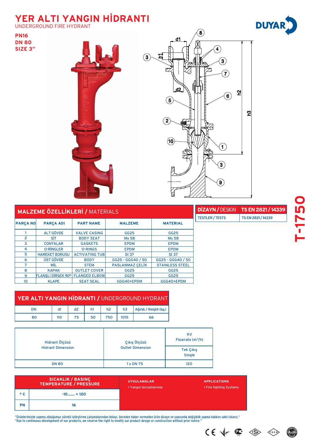## **YER ALTI YANGIN HİDRANTI**

UNDERGROUND FIRE HYDRANT

**PN16 DN 80 SIZE 3"**





| <b>MALZEME ÖZELLİKLERİ / MATERIALS</b> |                           |                       |                        |                        |  |  |
|----------------------------------------|---------------------------|-----------------------|------------------------|------------------------|--|--|
| <b>PARÇA NO</b>                        | <b>PARÇA ADI</b>          | <b>PART NAME</b>      | <b>MALZEME</b>         | <b>MATERIAL</b>        |  |  |
|                                        | <b>ALT GÖVDE</b>          | <b>VALVE CASING</b>   | <b>GG25</b>            | <b>GG25</b>            |  |  |
| $\overline{2}$                         | SİT                       | <b>BODY SEAT</b>      | <b>Ms 58</b>           | <b>Ms 58</b>           |  |  |
| 3                                      | <b>CONTALAR</b>           | <b>GASKETS</b>        | <b>EPDM</b>            | <b>EPDM</b>            |  |  |
| 4                                      | <b>O-RINGLER</b>          | <b>O-RINGS</b>        | <b>EPDM</b>            | <b>EPDM</b>            |  |  |
| 5                                      | <b>HAREKET BORUSU</b>     | <b>ACTIVATING TUB</b> | <b>St 37</b>           | <b>St 37</b>           |  |  |
| 6                                      | ÜST GÖVDE                 | <b>BODY</b>           | GG25 - GGG40 / 50      | GG25 - GGG40 / 50      |  |  |
| 7                                      | MİL                       | <b>STEM</b>           | <b>PASLANMAZ CELİK</b> | <b>STAINLESS STEEL</b> |  |  |
| 8                                      | <b>KAPAK</b>              | <b>OUTLET COVER</b>   | <b>GG25</b>            | <b>GG25</b>            |  |  |
| 9                                      | <b>FLANSLI DIRSEK 90°</b> | <b>FLANGED ELBOW</b>  | <b>GG25</b>            | <b>GG25</b>            |  |  |
| 10                                     | <b>KLAPE</b>              | <b>SEAT SEAL</b>      | GGG40+EPDM             | GGG40+EPDM             |  |  |

|                       | <b>DİZAYN / DESIGN</b> | TS EN 2821/14339   |
|-----------------------|------------------------|--------------------|
|                       | <b>TESTLER / TESTS</b> | TS EN 2821 / 14339 |
| <b>MATERIAL</b>       |                        |                    |
| GG25                  |                        |                    |
| <b>Ms 58</b>          |                        |                    |
| <b>EPDM</b>           |                        |                    |
| <b>EPDM</b>           |                        |                    |
| <b>St 37</b>          |                        |                    |
| 325 - GGG40 / 50      |                        |                    |
| <b>TAINLESS STEEL</b> |                        |                    |
|                       |                        |                    |

#### YER ALTI YANGIN HİDRANTI / UNDERGROUND HYDRANT

| nΝ | d.  | $\sim$<br>a∠ | nı | n∠  | n3   | Ağırlık / Weight (kg.) |
|----|-----|--------------|----|-----|------|------------------------|
|    | 110 | 75           | 50 | 750 | 1015 | 66                     |

| Hidrant Ölçüsü           | Çıkış Ölçüsü            | <b>KV</b><br>Flowrate $(m^3/h)$ |
|--------------------------|-------------------------|---------------------------------|
| <b>Hidrant Dimension</b> | <b>Outlet Dimension</b> | Tek Çıkış<br><b>Single</b>      |
| <b>DN 80</b>             | 1 x DN 75               | 120                             |

| <b>SICAKLIK / BASINÇ</b><br><b>TEMPERATURE / PRESSURE</b> |             | <b>UYGULAMALAR</b><br>• Yangın tesisatlarında | <b>APPLICATIONS</b><br>• Fire fighting Systems |
|-----------------------------------------------------------|-------------|-----------------------------------------------|------------------------------------------------|
| $^{\circ}$ C                                              | $-10$ + 120 |                                               |                                                |
| <b>PN</b>                                                 | 16          |                                               |                                                |

"Ürünlerimizde yapmış olduğumuz sürekli iyileştirme çalışmalarından dolayı, önceden haber vermeden ürün dizayn ve yapısında değişiklik yapma hakkını saklı tutarız."<br>"Due to continuous development of our products, we reserv





 $CE \nleftrightarrow \n\mathbf{C} \n\Leftrightarrow$ 

 $\left\langle \left\{ \begin{matrix} \text{s} & \text{r} \\ \text{s} & \text{r} \end{matrix} \right\} \right\rangle$ 

 $\circledcirc$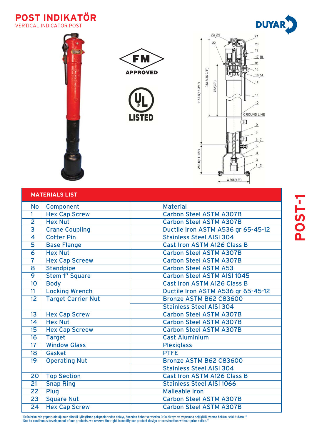







| <b>MATERIALS LIST</b>           |                       |                                    |  |  |
|---------------------------------|-----------------------|------------------------------------|--|--|
| <b>No</b>                       | Component             | <b>Material</b>                    |  |  |
| $\mathbf{1}$                    | <b>Hex Cap Screw</b>  | <b>Carbon Steel ASTM A307B</b>     |  |  |
| $\overline{2}$                  | <b>Hex Nut</b>        | <b>Carbon Steel ASTM A307B</b>     |  |  |
| $\overline{3}$                  | <b>Crane Coupling</b> | Ductile Iron ASTM A536 gr 65-45-12 |  |  |
| $\overline{\mathbf{4}}$         | <b>Cotter Pin</b>     | <b>Stainless Steel AISI 304</b>    |  |  |
| 5                               | <b>Base Flange</b>    | <b>Cast Iron ASTM A126 Class B</b> |  |  |
| 6                               | <b>Hex Nut</b>        | <b>Carbon Steel ASTM A307B</b>     |  |  |
| $\overline{7}$                  | <b>Hex Cap Screew</b> | <b>Carbon Steel ASTM A307B</b>     |  |  |
| 8                               | <b>Standpipe</b>      | Carbon Steel ASTM A53              |  |  |
| 9                               | <b>Stem 1" Square</b> | <b>Carbon Steel ASTM AISI 1045</b> |  |  |
| 10                              | <b>Body</b>           | <b>Cast Iron ASTM A126 Class B</b> |  |  |
| 11                              | <b>Locking Wrench</b> | Ductile Iron ASTM A536 gr 65-45-12 |  |  |
| <b>Target Carrier Nut</b><br>12 |                       | Bronze ASTM B62 C83600             |  |  |
|                                 |                       | <b>Stainless Steel AISI 304</b>    |  |  |
| 13                              | <b>Hex Cap Screw</b>  | <b>Carbon Steel ASTM A307B</b>     |  |  |
| 14                              | <b>Hex Nut</b>        | <b>Carbon Steel ASTM A307B</b>     |  |  |
| 15                              | <b>Hex Cap Screew</b> | <b>Carbon Steel ASTM A307B</b>     |  |  |
| 16                              | <b>Target</b>         | <b>Cast Aluminium</b>              |  |  |
| 17                              | <b>Window Glass</b>   | <b>Plexiglass</b>                  |  |  |
| 18                              | Gasket                | <b>PTFE</b>                        |  |  |
| 19                              | <b>Operating Nut</b>  | Bronze ASTM B62 C83600             |  |  |
|                                 |                       | <b>Stainless Steel AISI 304</b>    |  |  |
| 20                              | <b>Top Section</b>    | <b>Cast Iron ASTM A126 Class B</b> |  |  |
| 21                              | <b>Snap Ring</b>      | <b>Stainless Steel AISI 1066</b>   |  |  |
| $\overline{22}$                 | Plug                  | <b>Malleable Iron</b>              |  |  |
| $\overline{23}$                 | <b>Square Nut</b>     | <b>Carbon Steel ASTM A307B</b>     |  |  |
| 24                              | <b>Hex Cap Screw</b>  | <b>Carbon Steel ASTM A307B</b>     |  |  |

"Ürünlerimizde yapmış olduğumuz sürekli iyileştirme çalışmalarından dolayı, önceden haber vermeden ürün dizayn ve yapısında değişiklik yapma hakkını saklı tutarız."<br>"Due to continuous development of our products, we reserv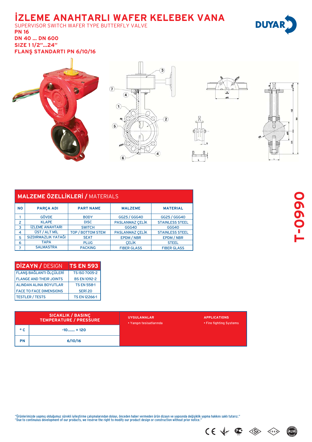### *iZLEME ANAHTARLI WAFER KELEBEK VANA*

SUPERVISOR SWITCH WAFER TYPE BUTTERFLY VALVE **PN 16 DN 40 … DN 600 SIZE 1 1/2"...24''**

**FLANS STANDARTI PN 6/10/16** 



| <b>MALZEME ÖZELLİKLERİ / MATERIALS</b> |                        |                          |                        |                        |  |  |
|----------------------------------------|------------------------|--------------------------|------------------------|------------------------|--|--|
| <b>NO</b>                              | <b>PARÇA ADI</b>       | <b>PART NAME</b>         | <b>MALZEME</b>         | <b>MATERIAL</b>        |  |  |
|                                        | <b>GÖVDE</b>           | <b>BODY</b>              | GG25 / GGG40           | GG25 / GGG40           |  |  |
| 2                                      | <b>KLAPE</b>           | <b>DISC</b>              | <b>PASLANMAZ CELİK</b> | <b>STAINLESS STEEL</b> |  |  |
| 3                                      | <b>IZLEME ANAHTARI</b> | <b>SWITCH</b>            | GGG40                  | GGG40                  |  |  |
| 4                                      | ÜST / ALT MİL          | <b>TOP / BOTTOM STEM</b> | <b>PASLANMAZ CELİK</b> | <b>STAINLESS STEEL</b> |  |  |
| 5                                      | SIZDIRMAZLIK YATAĞI    | <b>SEAT</b>              | <b>EPDM / NBR</b>      | <b>EPDM/NBR</b>        |  |  |
| 6                                      | <b>TAPA</b>            | <b>PLUG</b>              | <b>CELIK</b>           | <b>STEEL</b>           |  |  |
| 7                                      | <b>SALMASTRA</b>       | <b>PACKING</b>           | <b>FIBER GLASS</b>     | <b>FIBER GLASS</b>     |  |  |

| <b>DİZAYN / DESIGN</b>         | <b>TS EN 593</b>     |
|--------------------------------|----------------------|
| <b>FLANS BAĞLANTI ÖLÇÜLERİ</b> | <b>TS ISO 7005-2</b> |
| <b>FLANGE AND THEIR JOINTS</b> | <b>BS EN 1092-2</b>  |
| <b>ALINDAN ALINA BOYUTLAR</b>  | <b>TS EN 558-1</b>   |
| <b>FACE TO FACE DIMENSIONS</b> | SERİ <sub>20</sub>   |
| <b>TESTLER / TESTS</b>         | <b>TS EN 12266-1</b> |

| SICAKLIK / BASINÇ<br>TEMPERATURE / PRESSURE |             | <b>UYGULAMALAR</b><br>• Yangın tesisatlarında | <b>APPLICATIONS</b><br>• Fire fighting Systems |
|---------------------------------------------|-------------|-----------------------------------------------|------------------------------------------------|
| $^{\circ}$ C                                | $-10$ + 120 |                                               |                                                |
| <b>PN</b>                                   | 6/10/16     |                                               |                                                |

**T-0990**

"Ürünlerimizde yapmış olduğumuz sürekli iyileştirme çalışmalarından dolayı, önceden haber vermeden ürün dizayn ve yapısında değişiklik yapma hakkını saklı tutarız."<br>"Due to continuous development of our products, we reserv



TSEK